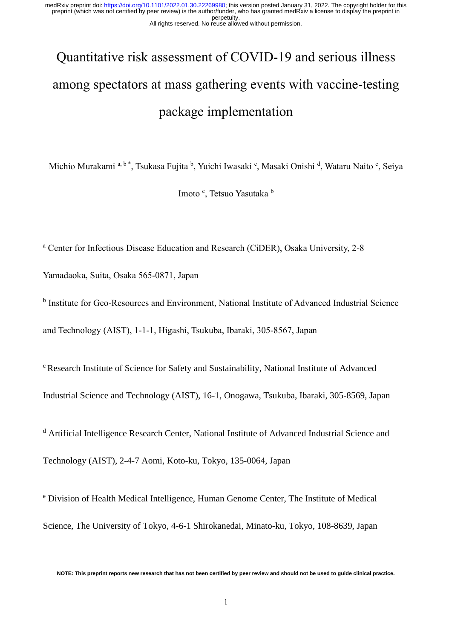# Quantitative risk assessment of COVID-19 and serious illness among spectators at mass gathering events with vaccine-testing package implementation

Michio Murakami a, b \*, Tsukasa Fujita <sup>b</sup>, Yuichi Iwasaki <sup>c</sup>, Masaki Onishi <sup>d</sup>, Wataru Naito <sup>c</sup>, Seiya

Imoto <sup>e</sup>, Tetsuo Yasutaka b

<sup>a</sup> Center for Infectious Disease Education and Research (CiDER), Osaka University, 2-8

Yamadaoka, Suita, Osaka 565-0871, Japan

<sup>b</sup> Institute for Geo-Resources and Environment, National Institute of Advanced Industrial Science and Technology (AIST), 1-1-1, Higashi, Tsukuba, Ibaraki, 305-8567, Japan

<sup>c</sup> Research Institute of Science for Safety and Sustainability, National Institute of Advanced Industrial Science and Technology (AIST), 16-1, Onogawa, Tsukuba, Ibaraki, 305-8569, Japan

<sup>d</sup> Artificial Intelligence Research Center, National Institute of Advanced Industrial Science and Technology (AIST), 2-4-7 Aomi, Koto-ku, Tokyo, 135-0064, Japan

<sup>e</sup> Division of Health Medical Intelligence, Human Genome Center, The Institute of Medical Science, The University of Tokyo, 4-6-1 Shirokanedai, Minato-ku, Tokyo, 108-8639, Japan

**NOTE: This preprint reports new research that has not been certified by peer review and should not be used to guide clinical practice.**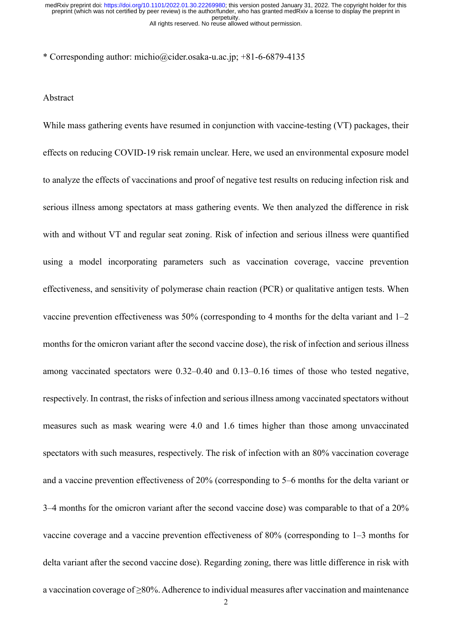\* Corresponding author: michio@cider.osaka-u.ac.jp; +81-6-6879-4135

#### Abstract

While mass gathering events have resumed in conjunction with vaccine-testing (VT) packages, their effects on reducing COVID-19 risk remain unclear. Here, we used an environmental exposure model to analyze the effects of vaccinations and proof of negative test results on reducing infection risk and serious illness among spectators at mass gathering events. We then analyzed the difference in risk with and without VT and regular seat zoning. Risk of infection and serious illness were quantified using a model incorporating parameters such as vaccination coverage, vaccine prevention effectiveness, and sensitivity of polymerase chain reaction (PCR) or qualitative antigen tests. When vaccine prevention effectiveness was 50% (corresponding to 4 months for the delta variant and 1–2 months for the omicron variant after the second vaccine dose), the risk of infection and serious illness among vaccinated spectators were 0.32–0.40 and 0.13–0.16 times of those who tested negative, respectively. In contrast, the risks of infection and serious illness among vaccinated spectators without measures such as mask wearing were 4.0 and 1.6 times higher than those among unvaccinated spectators with such measures, respectively. The risk of infection with an 80% vaccination coverage and a vaccine prevention effectiveness of 20% (corresponding to 5–6 months for the delta variant or 3–4 months for the omicron variant after the second vaccine dose) was comparable to that of a 20% vaccine coverage and a vaccine prevention effectiveness of 80% (corresponding to 1–3 months for delta variant after the second vaccine dose). Regarding zoning, there was little difference in risk with a vaccination coverage of ≥80%. Adherence to individual measures after vaccination and maintenance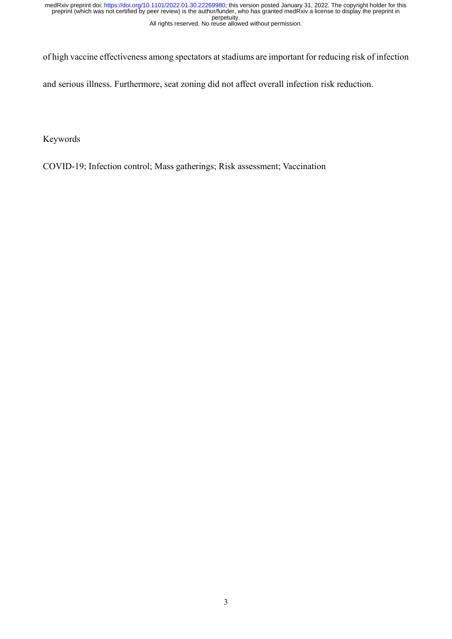of high vaccine effectiveness among spectators at stadiums are important for reducing risk of infection

and serious illness. Furthermore, seat zoning did not affect overall infection risk reduction.

Keywords

COVID-19; Infection control; Mass gatherings; Risk assessment; Vaccination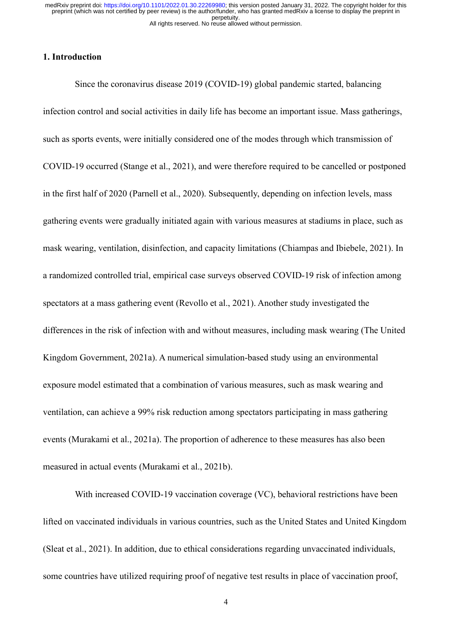# **1. Introduction**

Since the coronavirus disease 2019 (COVID-19) global pandemic started, balancing infection control and social activities in daily life has become an important issue. Mass gatherings, such as sports events, were initially considered one of the modes through which transmission of COVID-19 occurred (Stange et al., 2021), and were therefore required to be cancelled or postponed in the first half of 2020 (Parnell et al., 2020). Subsequently, depending on infection levels, mass gathering events were gradually initiated again with various measures at stadiums in place, such as mask wearing, ventilation, disinfection, and capacity limitations (Chiampas and Ibiebele, 2021). In a randomized controlled trial, empirical case surveys observed COVID-19 risk of infection among spectators at a mass gathering event (Revollo et al., 2021). Another study investigated the differences in the risk of infection with and without measures, including mask wearing (The United Kingdom Government, 2021a). A numerical simulation-based study using an environmental exposure model estimated that a combination of various measures, such as mask wearing and ventilation, can achieve a 99% risk reduction among spectators participating in mass gathering events (Murakami et al., 2021a). The proportion of adherence to these measures has also been measured in actual events (Murakami et al., 2021b).

With increased COVID-19 vaccination coverage (VC), behavioral restrictions have been lifted on vaccinated individuals in various countries, such as the United States and United Kingdom (Sleat et al., 2021). In addition, due to ethical considerations regarding unvaccinated individuals, some countries have utilized requiring proof of negative test results in place of vaccination proof,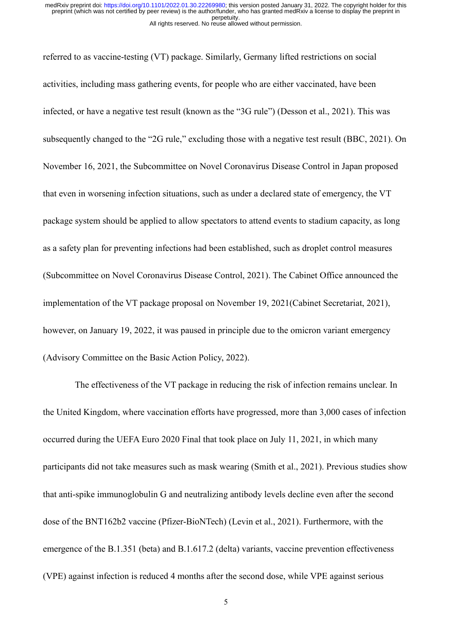referred to as vaccine-testing (VT) package. Similarly, Germany lifted restrictions on social activities, including mass gathering events, for people who are either vaccinated, have been infected, or have a negative test result (known as the "3G rule") (Desson et al., 2021). This was subsequently changed to the "2G rule," excluding those with a negative test result (BBC, 2021). On November 16, 2021, the Subcommittee on Novel Coronavirus Disease Control in Japan proposed that even in worsening infection situations, such as under a declared state of emergency, the VT package system should be applied to allow spectators to attend events to stadium capacity, as long as a safety plan for preventing infections had been established, such as droplet control measures (Subcommittee on Novel Coronavirus Disease Control, 2021). The Cabinet Office announced the implementation of the VT package proposal on November 19, 2021(Cabinet Secretariat, 2021), however, on January 19, 2022, it was paused in principle due to the omicron variant emergency (Advisory Committee on the Basic Action Policy, 2022).

The effectiveness of the VT package in reducing the risk of infection remains unclear. In the United Kingdom, where vaccination efforts have progressed, more than 3,000 cases of infection occurred during the UEFA Euro 2020 Final that took place on July 11, 2021, in which many participants did not take measures such as mask wearing (Smith et al., 2021). Previous studies show that anti-spike immunoglobulin G and neutralizing antibody levels decline even after the second dose of the BNT162b2 vaccine (Pfizer-BioNTech) (Levin et al., 2021). Furthermore, with the emergence of the B.1.351 (beta) and B.1.617.2 (delta) variants, vaccine prevention effectiveness (VPE) against infection is reduced 4 months after the second dose, while VPE against serious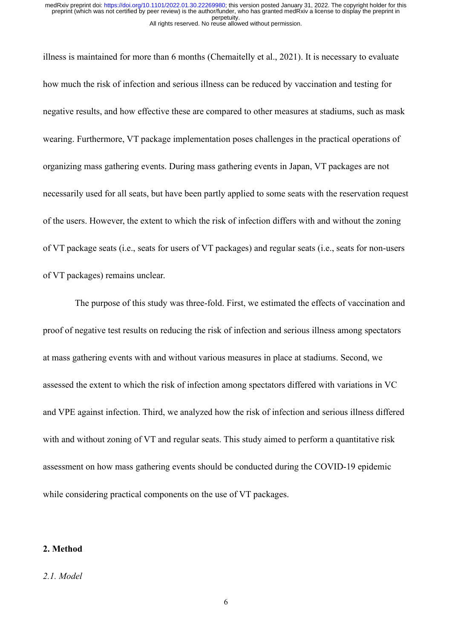illness is maintained for more than 6 months (Chemaitelly et al., 2021). It is necessary to evaluate how much the risk of infection and serious illness can be reduced by vaccination and testing for negative results, and how effective these are compared to other measures at stadiums, such as mask wearing. Furthermore, VT package implementation poses challenges in the practical operations of organizing mass gathering events. During mass gathering events in Japan, VT packages are not necessarily used for all seats, but have been partly applied to some seats with the reservation request of the users. However, the extent to which the risk of infection differs with and without the zoning of VT package seats (i.e., seats for users of VT packages) and regular seats (i.e., seats for non-users of VT packages) remains unclear.

The purpose of this study was three-fold. First, we estimated the effects of vaccination and proof of negative test results on reducing the risk of infection and serious illness among spectators at mass gathering events with and without various measures in place at stadiums. Second, we assessed the extent to which the risk of infection among spectators differed with variations in VC and VPE against infection. Third, we analyzed how the risk of infection and serious illness differed with and without zoning of VT and regular seats. This study aimed to perform a quantitative risk assessment on how mass gathering events should be conducted during the COVID-19 epidemic while considering practical components on the use of VT packages.

# **2. Method**

#### *2.1. Model*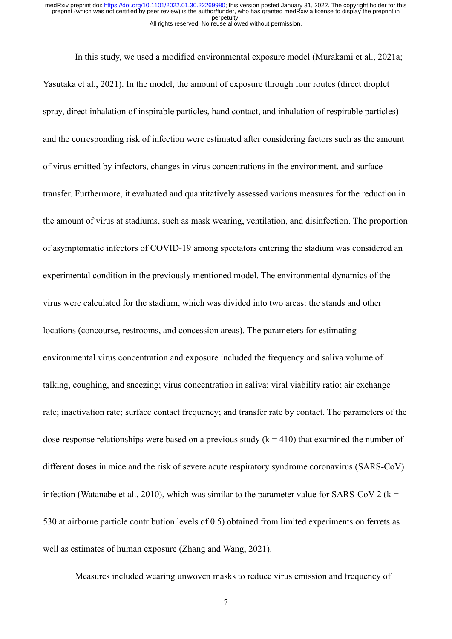In this study, we used a modified environmental exposure model (Murakami et al., 2021a; Yasutaka et al., 2021). In the model, the amount of exposure through four routes (direct droplet spray, direct inhalation of inspirable particles, hand contact, and inhalation of respirable particles) and the corresponding risk of infection were estimated after considering factors such as the amount of virus emitted by infectors, changes in virus concentrations in the environment, and surface transfer. Furthermore, it evaluated and quantitatively assessed various measures for the reduction in the amount of virus at stadiums, such as mask wearing, ventilation, and disinfection. The proportion of asymptomatic infectors of COVID-19 among spectators entering the stadium was considered an experimental condition in the previously mentioned model. The environmental dynamics of the virus were calculated for the stadium, which was divided into two areas: the stands and other locations (concourse, restrooms, and concession areas). The parameters for estimating environmental virus concentration and exposure included the frequency and saliva volume of talking, coughing, and sneezing; virus concentration in saliva; viral viability ratio; air exchange rate; inactivation rate; surface contact frequency; and transfer rate by contact. The parameters of the dose-response relationships were based on a previous study  $(k = 410)$  that examined the number of different doses in mice and the risk of severe acute respiratory syndrome coronavirus (SARS-CoV) infection (Watanabe et al., 2010), which was similar to the parameter value for SARS-CoV-2 ( $k =$ 530 at airborne particle contribution levels of 0.5) obtained from limited experiments on ferrets as well as estimates of human exposure (Zhang and Wang, 2021).

Measures included wearing unwoven masks to reduce virus emission and frequency of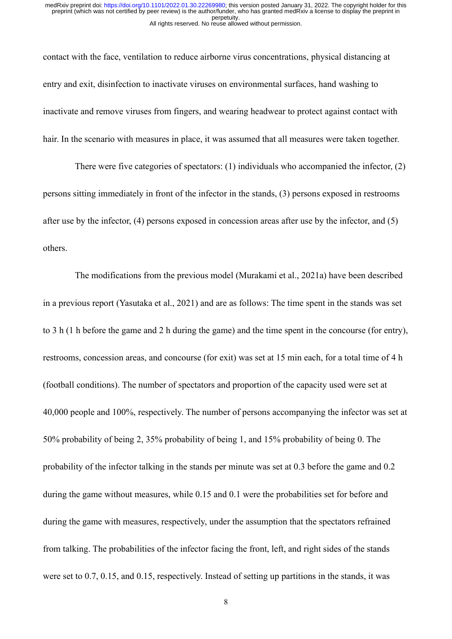contact with the face, ventilation to reduce airborne virus concentrations, physical distancing at entry and exit, disinfection to inactivate viruses on environmental surfaces, hand washing to inactivate and remove viruses from fingers, and wearing headwear to protect against contact with hair. In the scenario with measures in place, it was assumed that all measures were taken together.

There were five categories of spectators: (1) individuals who accompanied the infector, (2) persons sitting immediately in front of the infector in the stands, (3) persons exposed in restrooms after use by the infector, (4) persons exposed in concession areas after use by the infector, and (5) others.

The modifications from the previous model (Murakami et al., 2021a) have been described in a previous report (Yasutaka et al., 2021) and are as follows: The time spent in the stands was set to 3 h (1 h before the game and 2 h during the game) and the time spent in the concourse (for entry), restrooms, concession areas, and concourse (for exit) was set at 15 min each, for a total time of 4 h (football conditions). The number of spectators and proportion of the capacity used were set at 40,000 people and 100%, respectively. The number of persons accompanying the infector was set at 50% probability of being 2, 35% probability of being 1, and 15% probability of being 0. The probability of the infector talking in the stands per minute was set at 0.3 before the game and 0.2 during the game without measures, while 0.15 and 0.1 were the probabilities set for before and during the game with measures, respectively, under the assumption that the spectators refrained from talking. The probabilities of the infector facing the front, left, and right sides of the stands were set to 0.7, 0.15, and 0.15, respectively. Instead of setting up partitions in the stands, it was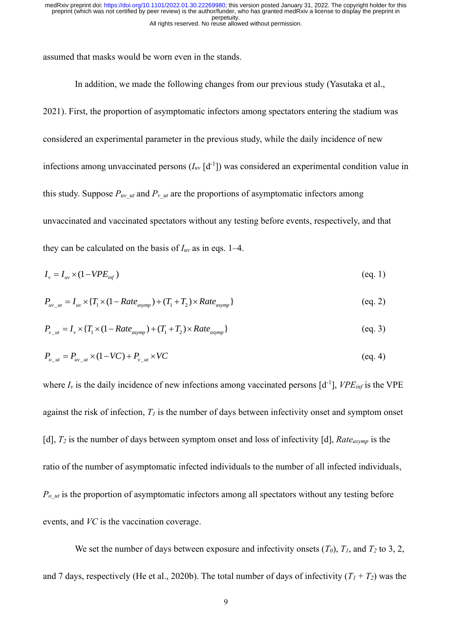assumed that masks would be worn even in the stands.

In addition, we made the following changes from our previous study (Yasutaka et al., 2021). First, the proportion of asymptomatic infectors among spectators entering the stadium was considered an experimental parameter in the previous study, while the daily incidence of new infections among unvaccinated persons  $(I_{uv} [d^{-1}])$  was considered an experimental condition value in this study. Suppose  $P_{uv}$  *ut* and  $P_{v}$  *ut* are the proportions of asymptomatic infectors among unvaccinated and vaccinated spectators without any testing before events, respectively, and that they can be calculated on the basis of *Iuv* as in eqs. 1–4.

$$
I_{\nu} = I_{\nu\nu} \times (1 - VPE_{\nu\eta} \tag{eq.1}
$$

$$
P_{uv_{-}ut} = I_{uv} \times \{T_1 \times (1 - Rate_{asymp}) + (T_1 + T_2) \times Rate_{asymp}\}
$$
 (eq. 2)

$$
P_{v_{-}ut} = I_v \times \{T_1 \times (1 - Rate_{asymp}) + (T_1 + T_2) \times Rate_{asymp}\}
$$
 (eq. 3)

$$
P_{o_{-}ut} = P_{uv_{-}ut} \times (1 - VC) + P_{v_{-}ut} \times VC \tag{eq. 4}
$$

where  $I_v$  is the daily incidence of new infections among vaccinated persons  $[d^{-1}]$ ,  $VPE_{inf}$  is the VPE against the risk of infection,  $T_I$  is the number of days between infectivity onset and symptom onset [d], *T<sup>2</sup>* is the number of days between symptom onset and loss of infectivity [d], *Rateasymp* is the ratio of the number of asymptomatic infected individuals to the number of all infected individuals,  $P_{\alpha}$ <sub>ut</sub> is the proportion of asymptomatic infectors among all spectators without any testing before events, and *VC* is the vaccination coverage.

We set the number of days between exposure and infectivity onsets  $(T_0)$ ,  $T_1$ , and  $T_2$  to 3, 2, and 7 days, respectively (He et al., 2020b). The total number of days of infectivity  $(T_1 + T_2)$  was the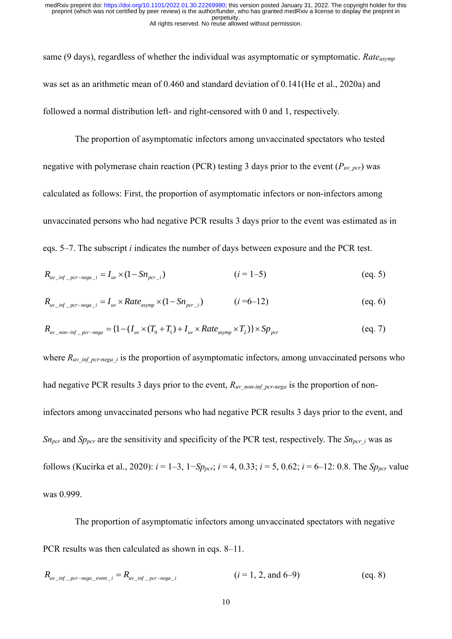same (9 days), regardless of whether the individual was asymptomatic or symptomatic. *Rateasymp* was set as an arithmetic mean of 0.460 and standard deviation of 0.141(He et al., 2020a) and followed a normal distribution left- and right-censored with 0 and 1, respectively.

The proportion of asymptomatic infectors among unvaccinated spectators who tested negative with polymerase chain reaction (PCR) testing 3 days prior to the event  $(P_{uv~per})$  was calculated as follows: First, the proportion of asymptomatic infectors or non-infectors among unvaccinated persons who had negative PCR results 3 days prior to the event was estimated as in eqs. 5–7. The subscript *i* indicates the number of days between exposure and the PCR test.

$$
R_{uv\_inf\_per-nega\_i} = I_{uv} \times (1 - Sn_{per\_i})
$$
 (eq. 5)

$$
R_{uv\_inf\_pcr-nega\_i} = I_{uv} \times Rate_{asymp} \times (1 - Sn_{pc\_i}) \qquad (i = 6-12)
$$
 (eq. 6)

$$
R_{uv\_inf\_per-nega\_i} = I_{uv} \times Rate_{asymp} \times (1 - Sn_{per\_i}) \qquad (i = 6-12)
$$
\n
$$
R_{uv\_non-inf\_per-nega} = \{1 - (I_{uv} \times (T_0 + T_1) + I_{uv} \times Rate_{asymp} \times T_2)\} \times Sp_{per} \qquad (eq. 7)
$$

where  $R_{uv~inf\,per\text{neg}a}$  is the proportion of asymptomatic infectors<sub>i</sub> among unvaccinated persons who had negative PCR results 3 days prior to the event,  $R_{uv\_non-inf\_per-nega}$  is the proportion of noninfectors among unvaccinated persons who had negative PCR results 3 days prior to the event, and *Sn<sub>pcr</sub>* and *Sp<sub>pcr</sub>* are the sensitivity and specificity of the PCR test, respectively. The *Sn<sub>pcr</sub> i* was as follows (Kucirka et al., 2020):  $i = 1-3$ ,  $1-Sp_{\text{per}}$ ;  $i = 4, 0.33$ ;  $i = 5, 0.62$ ;  $i = 6-12$ : 0.8. The *Sp<sub>pcr</sub>* value was 0.999.

The proportion of asymptomatic infectors among unvaccinated spectators with negative PCR results was then calculated as shown in eqs. 8–11.

$$
R_{uv\_inf\_pcr-nega\_event\_i} = R_{uv\_inf\_pcr-nega\_i}
$$
 (*i* = 1, 2, and 6–9) (eq. 8)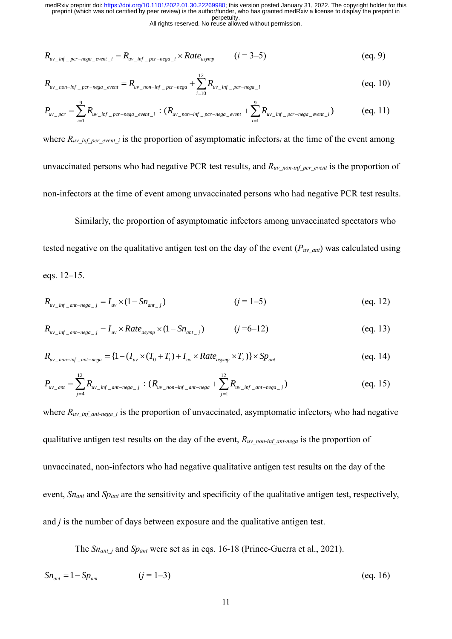All rights reserved. No reuse allowed without permission.

$$
R_{uv\_inf\_pcr-nega\_event\_i} = R_{uv\_inf\_pcr-nega\_i} \times Rate_{asymp} \qquad (i = 3-5)
$$
 (eq. 9)

$$
R_{uv\_inf\_pcr-nega\_event\_i} = R_{uv\_inf\_pcr-nega\_i} \times Rule_{asymp} \qquad (t-5-5)
$$
\n
$$
R_{uv\_non-inf\_pcr-nega\_event} = R_{uv\_non-inf\_pcr-nega} + \sum_{i=1}^{12} R_{uv\_inf\_pcr-nega\_i} \qquad (eq. 10)
$$
\n
$$
P_{uv\_pcr} = \sum_{i=1}^{9} R_{uv\_inf\_pcr-nega\_event\_i} \div (R_{uv\_non-inf\_pcr-nega\_event} + \sum_{i=1}^{9} R_{uv\_inf\_pcr-nega\_event\_i}) \qquad (eq. 11)
$$

$$
R_{uv\_inf\_pcr-nega\_event\_i} = R_{uv\_inf\_pcr-nega\_i} \times Rate_{asymp} \qquad (i = 3-5)
$$
\n
$$
R_{uv\_non-inf\_pcr-nega\_event} = R_{uv\_non-inf\_pcr-nega} + \sum_{i=1}^{12} R_{uv\_inf\_pcr-nega\_i} \qquad (eq. 10)
$$
\n
$$
P_{uv\_pcr} = \sum_{i=1}^{9} R_{uv\_inf\_pcr-nega\_event\_i} \div (R_{uv\_non-inf\_pcr-nega\_event} + \sum_{i=1}^{9} R_{uv\_inf\_pcr-nega\_event\_i}) \qquad (eq. 11)
$$

where  $R_{uv\inf\text{per}}$  *event* is the proportion of asymptomatic infectors<sub>i</sub> at the time of the event among unvaccinated persons who had negative PCR test results, and  $R_{uv\_non-inf\_per\_event}$  is the proportion of non-infectors at the time of event among unvaccinated persons who had negative PCR test results.

Similarly, the proportion of asymptomatic infectors among unvaccinated spectators who tested negative on the qualitative antigen test on the day of the event  $(P_{uv\text{ ant}})$  was calculated using eqs. 12–15.

$$
R_{uv\_inf\_ant-nega\_j} = I_{uv} \times (1 - Sn_{ant\_j})
$$
 (eq. 12)

$$
R_{uv\_inf\_ant-nega\_j} = I_{uv} \times Rate_{asymp} \times (1 - Sn_{ant\_j}) \qquad (j = 6-12)
$$
 (eq. 13)

$$
R_{uv\_inf\_ant-nega\_j} = I_{uv} \times Rate_{asymp} \times (1 - Sn_{ant\_j}) \qquad (j = 6 - 12)
$$
\n
$$
R_{uv\_non-inf\_ant-nega} = \{1 - (I_{uv} \times (T_0 + T_1) + I_{uv} \times Rate_{asymp} \times T_2)\} \times Sp_{ant} \qquad (eq. 14)
$$

$$
R_{uv\_non-inf\_ant-nega} = \{1 - (I_{uv} \times (T_0 + T_1) + I_{uv} \times Rate_{asymp} \times T_2)\} \times Sp_{ant}
$$
\n
$$
P_{uv\_ant} = \sum_{j=4}^{12} R_{uv\_inf\_ant-nega\_j} \div (R_{uv\_non-inf\_ant-nega} + \sum_{j=1}^{12} R_{uv\_inf\_ant-nega\_j})
$$
\n
$$
(eq. 15)
$$

 $R_{w\_diff\_error\_energy\_error} = R_{w\_inf\_pvr\_energy\_i} \times Rate_{asymp}$ <br>  $R_{w\_gav\_inf\_error\_energy\_error} = R_{w\_ing\_error\_avg} + \sum_{i=10}^{12} R_{w\_inf}}$ <br>  $P_{w\_gav} = \sum_{i=1}^{12} R_{w\_inf\_gcv\_avg} = \sum_{i=10}^{12} R_{w\_inf\_gcv\_avg}$ <br>
where  $R_{w\_inf\_gcv\_avg}$  *i* is the proportion of asymptom<br>
unvaccinated persons w where  $R_{uv~inf}$  ant-nega<sub>j</sub> is the proportion of unvaccinated, asymptomatic infectors<sub>j</sub> who had negative qualitative antigen test results on the day of the event,  $R_{uv\_non-int\_ant-nega}$  is the proportion of unvaccinated, non-infectors who had negative qualitative antigen test results on the day of the event, *Snant* and *Spant* are the sensitivity and specificity of the qualitative antigen test, respectively, and *j* is the number of days between exposure and the qualitative antigen test.

The *Sn<sub>ant</sub> j* and *Sp<sub>ant</sub>* were set as in eqs. 16-18 (Prince-Guerra et al., 2021).

$$
Sn_{ant} = 1 - Sp_{ant} \t\t (j = 1-3)
$$
 (eq. 16)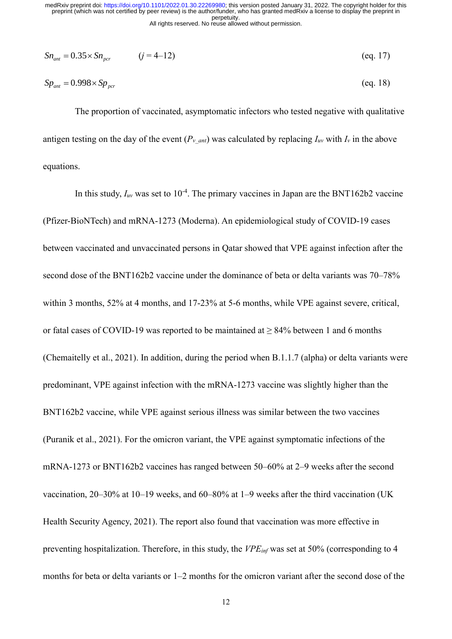$$
Sn_{\text{ant}} = 0.35 \times Sn_{\text{per}} \qquad (j = 4-12) \tag{eq.17}
$$

$$
Sp_{ant} = 0.998 \times Sp_{per} \tag{eq. 18}
$$

The proportion of vaccinated, asymptomatic infectors who tested negative with qualitative antigen testing on the day of the event  $(P_{v,ant})$  was calculated by replacing  $I_{uv}$  with  $I_v$  in the above equations.

 $Sn_{am} = 0.35 \times Sn_{p,cr}$  ( $j = 4 \text{ } 12$ )<br>  $Sp_{am} = 0.998 \times Sp_{p,cr}$ <br>
The proportion of vaccinated, asymptomat<br>
antigen testing on the day of the event ( $P_{v,am}$ ) was equations.<br>
In this study,  $I_{av}$  was set to  $10^{-4}$ . The prima In this study,  $I_{uv}$  was set to  $10^{-4}$ . The primary vaccines in Japan are the BNT162b2 vaccine (Pfizer-BioNTech) and mRNA-1273 (Moderna). An epidemiological study of COVID-19 cases between vaccinated and unvaccinated persons in Qatar showed that VPE against infection after the second dose of the BNT162b2 vaccine under the dominance of beta or delta variants was 70–78% within 3 months, 52% at 4 months, and 17-23% at 5-6 months, while VPE against severe, critical, or fatal cases of COVID-19 was reported to be maintained at  $\geq 84\%$  between 1 and 6 months (Chemaitelly et al., 2021). In addition, during the period when B.1.1.7 (alpha) or delta variants were predominant, VPE against infection with the mRNA-1273 vaccine was slightly higher than the BNT162b2 vaccine, while VPE against serious illness was similar between the two vaccines (Puranik et al., 2021). For the omicron variant, the VPE against symptomatic infections of the mRNA-1273 or BNT162b2 vaccines has ranged between 50–60% at 2–9 weeks after the second vaccination, 20–30% at 10–19 weeks, and 60–80% at 1–9 weeks after the third vaccination (UK Health Security Agency, 2021). The report also found that vaccination was more effective in preventing hospitalization. Therefore, in this study, the *VPEinf* was set at 50% (corresponding to 4 months for beta or delta variants or 1–2 months for the omicron variant after the second dose of the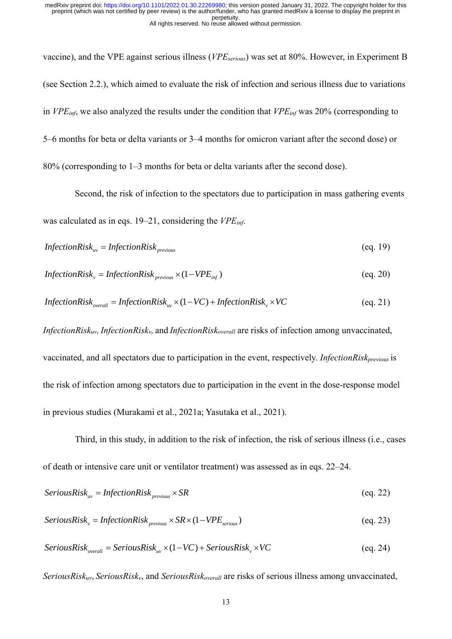vaccine), and the VPE against serious illness (*VPEserious*) was set at 80%. However, in Experiment B (see Section 2.2.), which aimed to evaluate the risk of infection and serious illness due to variations in *VPEinf*, we also analyzed the results under the condition that *VPEinf* was 20% (corresponding to 5–6 months for beta or delta variants or 3–4 months for omicron variant after the second dose) or 80% (corresponding to 1–3 months for beta or delta variants after the second dose).

Second, the risk of infection to the spectators due to participation in mass gathering events was calculated as in eqs. 19–21, considering the *VPEinf*.

$$
InfectionRisk_{uv} = InfectionRisk_{previous}
$$
 (eq. 19)

$$
InfectionRisk_{v} = InfectionRisk_{previous} \times (1 - VPE_{inf})
$$
 (eq. 20)

$$
InfectionRisk_v = InfectionRisk_{previous} \times (1 - VPE_{inf})
$$
\n
$$
(eq. 20)
$$
\n
$$
InfectionRisk_{overall} = InfectionRisk_w \times (1 - VC) + InfectionRisk_v \times VC
$$
\n
$$
(eq. 21)
$$

*InfectionRiskuv, InfectionRiskv,* and *InfectionRiskoverall* are risks of infection among unvaccinated, vaccinated, and all spectators due to participation in the event, respectively. *InfectionRiskprevious* is the risk of infection among spectators due to participation in the event in the dose-response model in previous studies (Murakami et al., 2021a; Yasutaka et al., 2021).

Third, in this study, in addition to the risk of infection, the risk of serious illness (i.e., cases of death or intensive care unit or ventilator treatment) was assessed as in eqs. 22–24.

*Series* 
$$
Series_{uv} = InfectionRisk_{previous} \times SR
$$
 (eq. 22)

$$
SeriousRiskw = InfectionRiskprevious × SR × (1 - VPEseries)
$$
\n
$$
(eq. 23)
$$

$$
ServousRISK_v = InjectionRISK_{previous} \times SK \times (1 - VPE_{serious})
$$
\n
$$
(eq. 23)
$$
\n
$$
ServousRisk_{overall} = SeriousRisk_w \times (1 - VC) + SeriousRisk_v \times VC
$$
\n
$$
(eq. 24)
$$

*SeriousRiskuv*, *SeriousRiskv*, and *SeriousRiskoverall* are risks of serious illness among unvaccinated,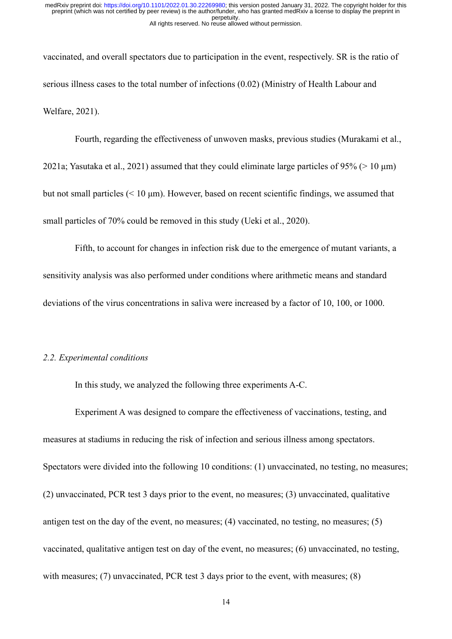vaccinated, and overall spectators due to participation in the event, respectively. SR is the ratio of serious illness cases to the total number of infections (0.02) (Ministry of Health Labour and Welfare, 2021).

Fourth, regarding the effectiveness of unwoven masks, previous studies (Murakami et al., 2021a; Yasutaka et al., 2021) assumed that they could eliminate large particles of 95% (> 10 μm) but not small particles (< 10 μm). However, based on recent scientific findings, we assumed that small particles of 70% could be removed in this study (Ueki et al., 2020).

Fifth, to account for changes in infection risk due to the emergence of mutant variants, a sensitivity analysis was also performed under conditions where arithmetic means and standard deviations of the virus concentrations in saliva were increased by a factor of 10, 100, or 1000.

## *2.2. Experimental conditions*

In this study, we analyzed the following three experiments A-C.

Experiment A was designed to compare the effectiveness of vaccinations, testing, and measures at stadiums in reducing the risk of infection and serious illness among spectators. Spectators were divided into the following 10 conditions: (1) unvaccinated, no testing, no measures; (2) unvaccinated, PCR test 3 days prior to the event, no measures; (3) unvaccinated, qualitative antigen test on the day of the event, no measures; (4) vaccinated, no testing, no measures; (5) vaccinated, qualitative antigen test on day of the event, no measures; (6) unvaccinated, no testing, with measures; (7) unvaccinated, PCR test 3 days prior to the event, with measures; (8)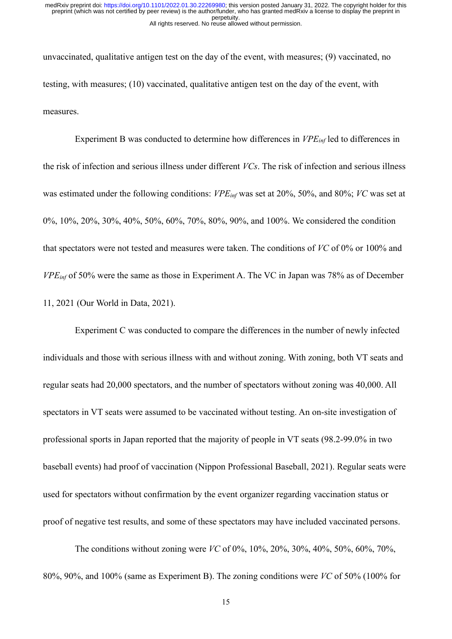unvaccinated, qualitative antigen test on the day of the event, with measures; (9) vaccinated, no testing, with measures; (10) vaccinated, qualitative antigen test on the day of the event, with measures.

Experiment B was conducted to determine how differences in *VPEinf* led to differences in the risk of infection and serious illness under different *VCs*. The risk of infection and serious illness was estimated under the following conditions: *VPEinf* was set at 20%, 50%, and 80%; *VC* was set at 0%, 10%, 20%, 30%, 40%, 50%, 60%, 70%, 80%, 90%, and 100%. We considered the condition that spectators were not tested and measures were taken. The conditions of *VC* of 0% or 100% and *VPEinf* of 50% were the same as those in Experiment A. The VC in Japan was 78% as of December 11, 2021 (Our World in Data, 2021).

Experiment C was conducted to compare the differences in the number of newly infected individuals and those with serious illness with and without zoning. With zoning, both VT seats and regular seats had 20,000 spectators, and the number of spectators without zoning was 40,000. All spectators in VT seats were assumed to be vaccinated without testing. An on-site investigation of professional sports in Japan reported that the majority of people in VT seats (98.2-99.0% in two baseball events) had proof of vaccination (Nippon Professional Baseball, 2021). Regular seats were used for spectators without confirmation by the event organizer regarding vaccination status or proof of negative test results, and some of these spectators may have included vaccinated persons.

The conditions without zoning were *VC* of 0%, 10%, 20%, 30%, 40%, 50%, 60%, 70%, 80%, 90%, and 100% (same as Experiment B). The zoning conditions were *VC* of 50% (100% for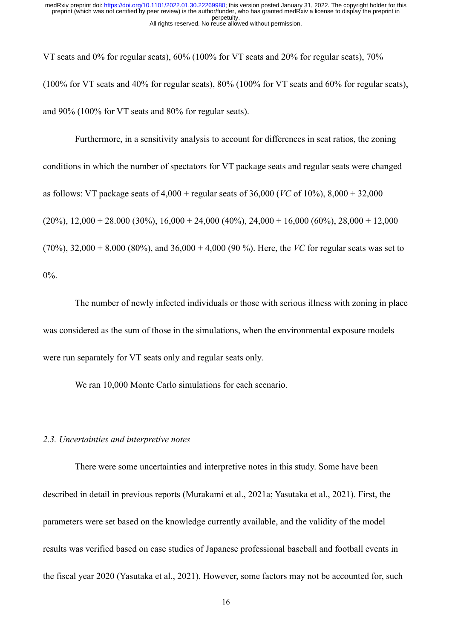VT seats and 0% for regular seats), 60% (100% for VT seats and 20% for regular seats), 70% (100% for VT seats and 40% for regular seats), 80% (100% for VT seats and 60% for regular seats), and 90% (100% for VT seats and 80% for regular seats).

Furthermore, in a sensitivity analysis to account for differences in seat ratios, the zoning conditions in which the number of spectators for VT package seats and regular seats were changed as follows: VT package seats of 4,000 + regular seats of 36,000 (*VC* of 10%), 8,000 + 32,000  $(20\%)$ ,  $12,000 + 28.000 (30\%)$ ,  $16,000 + 24,000 (40\%)$ ,  $24,000 + 16,000 (60\%)$ ,  $28,000 + 12,000$ (70%), 32,000 + 8,000 (80%), and 36,000 + 4,000 (90 %). Here, the *VC* for regular seats was set to 0%.

The number of newly infected individuals or those with serious illness with zoning in place was considered as the sum of those in the simulations, when the environmental exposure models were run separately for VT seats only and regular seats only.

We ran 10,000 Monte Carlo simulations for each scenario.

#### *2.3. Uncertainties and interpretive notes*

There were some uncertainties and interpretive notes in this study. Some have been described in detail in previous reports (Murakami et al., 2021a; Yasutaka et al., 2021). First, the parameters were set based on the knowledge currently available, and the validity of the model results was verified based on case studies of Japanese professional baseball and football events in the fiscal year 2020 (Yasutaka et al., 2021). However, some factors may not be accounted for, such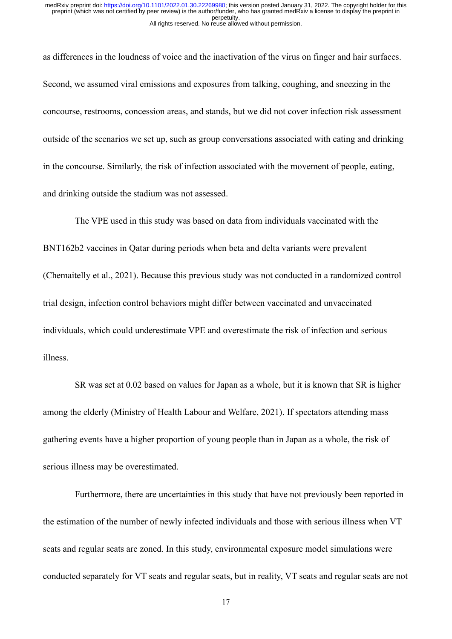as differences in the loudness of voice and the inactivation of the virus on finger and hair surfaces. Second, we assumed viral emissions and exposures from talking, coughing, and sneezing in the concourse, restrooms, concession areas, and stands, but we did not cover infection risk assessment outside of the scenarios we set up, such as group conversations associated with eating and drinking in the concourse. Similarly, the risk of infection associated with the movement of people, eating, and drinking outside the stadium was not assessed.

The VPE used in this study was based on data from individuals vaccinated with the BNT162b2 vaccines in Qatar during periods when beta and delta variants were prevalent (Chemaitelly et al., 2021). Because this previous study was not conducted in a randomized control trial design, infection control behaviors might differ between vaccinated and unvaccinated individuals, which could underestimate VPE and overestimate the risk of infection and serious illness.

SR was set at 0.02 based on values for Japan as a whole, but it is known that SR is higher among the elderly (Ministry of Health Labour and Welfare, 2021). If spectators attending mass gathering events have a higher proportion of young people than in Japan as a whole, the risk of serious illness may be overestimated.

Furthermore, there are uncertainties in this study that have not previously been reported in the estimation of the number of newly infected individuals and those with serious illness when VT seats and regular seats are zoned. In this study, environmental exposure model simulations were conducted separately for VT seats and regular seats, but in reality, VT seats and regular seats are not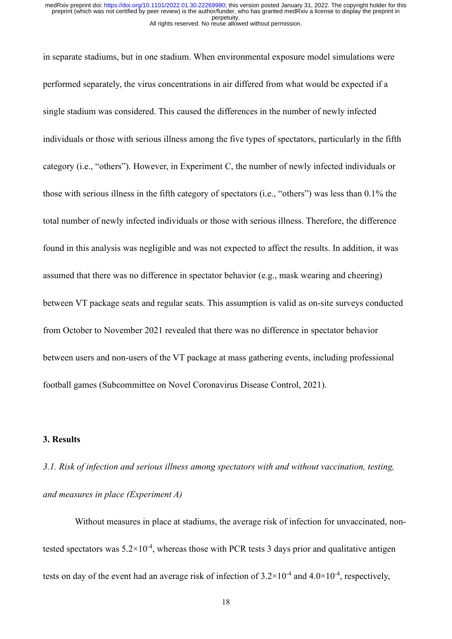in separate stadiums, but in one stadium. When environmental exposure model simulations were performed separately, the virus concentrations in air differed from what would be expected if a single stadium was considered. This caused the differences in the number of newly infected individuals or those with serious illness among the five types of spectators, particularly in the fifth category (i.e., "others"). However, in Experiment C, the number of newly infected individuals or those with serious illness in the fifth category of spectators (i.e., "others") was less than 0.1% the total number of newly infected individuals or those with serious illness. Therefore, the difference found in this analysis was negligible and was not expected to affect the results. In addition, it was assumed that there was no difference in spectator behavior (e.g., mask wearing and cheering) between VT package seats and regular seats. This assumption is valid as on-site surveys conducted from October to November 2021 revealed that there was no difference in spectator behavior between users and non-users of the VT package at mass gathering events, including professional football games (Subcommittee on Novel Coronavirus Disease Control, 2021).

# **3. Results**

*3.1. Risk of infection and serious illness among spectators with and without vaccination, testing, and measures in place (Experiment A)*

Without measures in place at stadiums, the average risk of infection for unvaccinated, nontested spectators was  $5.2 \times 10^{-4}$ , whereas those with PCR tests 3 days prior and qualitative antigen tests on day of the event had an average risk of infection of  $3.2 \times 10^{-4}$  and  $4.0 \times 10^{-4}$ , respectively,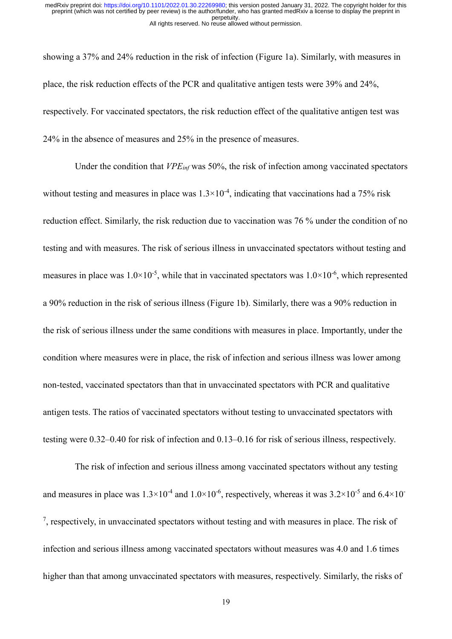showing a 37% and 24% reduction in the risk of infection (Figure 1a). Similarly, with measures in place, the risk reduction effects of the PCR and qualitative antigen tests were 39% and 24%, respectively. For vaccinated spectators, the risk reduction effect of the qualitative antigen test was 24% in the absence of measures and 25% in the presence of measures.

Under the condition that *VPEinf* was 50%, the risk of infection among vaccinated spectators without testing and measures in place was  $1.3 \times 10^{-4}$ , indicating that vaccinations had a 75% risk reduction effect. Similarly, the risk reduction due to vaccination was 76 % under the condition of no testing and with measures. The risk of serious illness in unvaccinated spectators without testing and measures in place was  $1.0 \times 10^{-5}$ , while that in vaccinated spectators was  $1.0 \times 10^{-6}$ , which represented a 90% reduction in the risk of serious illness (Figure 1b). Similarly, there was a 90% reduction in the risk of serious illness under the same conditions with measures in place. Importantly, under the condition where measures were in place, the risk of infection and serious illness was lower among non-tested, vaccinated spectators than that in unvaccinated spectators with PCR and qualitative antigen tests. The ratios of vaccinated spectators without testing to unvaccinated spectators with testing were 0.32–0.40 for risk of infection and 0.13–0.16 for risk of serious illness, respectively.

The risk of infection and serious illness among vaccinated spectators without any testing and measures in place was  $1.3 \times 10^{-4}$  and  $1.0 \times 10^{-6}$ , respectively, whereas it was  $3.2 \times 10^{-5}$  and  $6.4 \times 10^{-5}$  $<sup>7</sup>$ , respectively, in unvaccinated spectators without testing and with measures in place. The risk of</sup> infection and serious illness among vaccinated spectators without measures was 4.0 and 1.6 times higher than that among unvaccinated spectators with measures, respectively. Similarly, the risks of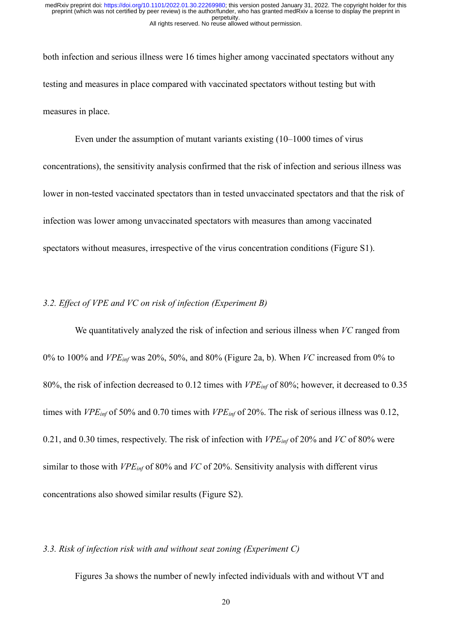both infection and serious illness were 16 times higher among vaccinated spectators without any testing and measures in place compared with vaccinated spectators without testing but with measures in place.

Even under the assumption of mutant variants existing (10–1000 times of virus concentrations), the sensitivity analysis confirmed that the risk of infection and serious illness was lower in non-tested vaccinated spectators than in tested unvaccinated spectators and that the risk of infection was lower among unvaccinated spectators with measures than among vaccinated spectators without measures, irrespective of the virus concentration conditions (Figure S1).

# *3.2. Effect of VPE and VC on risk of infection (Experiment B)*

We quantitatively analyzed the risk of infection and serious illness when *VC* ranged from 0% to 100% and *VPEinf* was 20%, 50%, and 80% (Figure 2a, b). When *VC* increased from 0% to 80%, the risk of infection decreased to 0.12 times with *VPEinf* of 80%; however, it decreased to 0.35 times with *VPEinf* of 50% and 0.70 times with *VPEinf* of 20%. The risk of serious illness was 0.12, 0.21, and 0.30 times, respectively. The risk of infection with *VPEinf* of 20% and *VC* of 80% were similar to those with *VPEinf* of 80% and *VC* of 20%. Sensitivity analysis with different virus concentrations also showed similar results (Figure S2).

## *3.3. Risk of infection risk with and without seat zoning (Experiment C)*

Figures 3a shows the number of newly infected individuals with and without VT and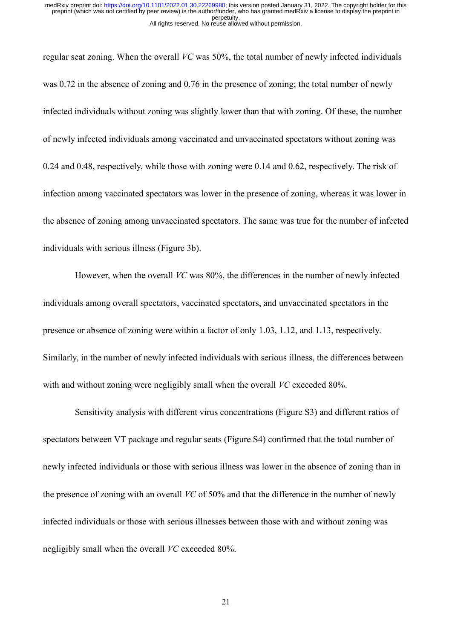regular seat zoning. When the overall *VC* was 50%, the total number of newly infected individuals was 0.72 in the absence of zoning and 0.76 in the presence of zoning; the total number of newly infected individuals without zoning was slightly lower than that with zoning. Of these, the number of newly infected individuals among vaccinated and unvaccinated spectators without zoning was 0.24 and 0.48, respectively, while those with zoning were 0.14 and 0.62, respectively. The risk of infection among vaccinated spectators was lower in the presence of zoning, whereas it was lower in the absence of zoning among unvaccinated spectators. The same was true for the number of infected individuals with serious illness (Figure 3b).

However, when the overall *VC* was 80%, the differences in the number of newly infected individuals among overall spectators, vaccinated spectators, and unvaccinated spectators in the presence or absence of zoning were within a factor of only 1.03, 1.12, and 1.13, respectively. Similarly, in the number of newly infected individuals with serious illness, the differences between with and without zoning were negligibly small when the overall *VC* exceeded 80%.

Sensitivity analysis with different virus concentrations (Figure S3) and different ratios of spectators between VT package and regular seats (Figure S4) confirmed that the total number of newly infected individuals or those with serious illness was lower in the absence of zoning than in the presence of zoning with an overall *VC* of 50% and that the difference in the number of newly infected individuals or those with serious illnesses between those with and without zoning was negligibly small when the overall *VC* exceeded 80%.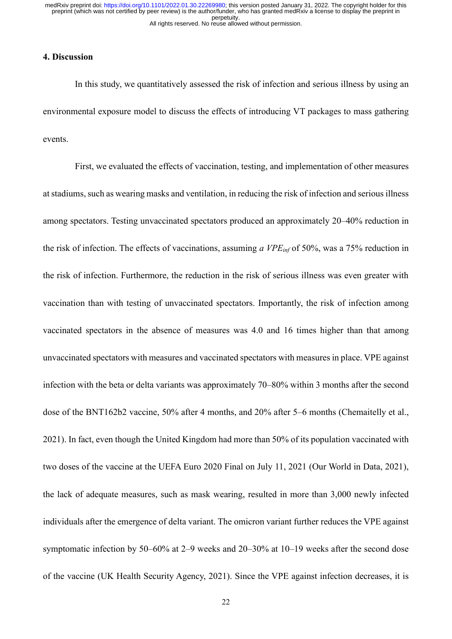# **4. Discussion**

In this study, we quantitatively assessed the risk of infection and serious illness by using an environmental exposure model to discuss the effects of introducing VT packages to mass gathering events.

First, we evaluated the effects of vaccination, testing, and implementation of other measures at stadiums, such as wearing masks and ventilation, in reducing the risk of infection and serious illness among spectators. Testing unvaccinated spectators produced an approximately 20–40% reduction in the risk of infection. The effects of vaccinations, assuming *a VPEinf* of 50%, was a 75% reduction in the risk of infection. Furthermore, the reduction in the risk of serious illness was even greater with vaccination than with testing of unvaccinated spectators. Importantly, the risk of infection among vaccinated spectators in the absence of measures was 4.0 and 16 times higher than that among unvaccinated spectators with measures and vaccinated spectators with measures in place. VPE against infection with the beta or delta variants was approximately 70–80% within 3 months after the second dose of the BNT162b2 vaccine, 50% after 4 months, and 20% after 5–6 months (Chemaitelly et al., 2021). In fact, even though the United Kingdom had more than 50% of its population vaccinated with two doses of the vaccine at the UEFA Euro 2020 Final on July 11, 2021 (Our World in Data, 2021), the lack of adequate measures, such as mask wearing, resulted in more than 3,000 newly infected individuals after the emergence of delta variant. The omicron variant further reduces the VPE against symptomatic infection by 50–60% at 2–9 weeks and 20–30% at 10–19 weeks after the second dose of the vaccine (UK Health Security Agency, 2021). Since the VPE against infection decreases, it is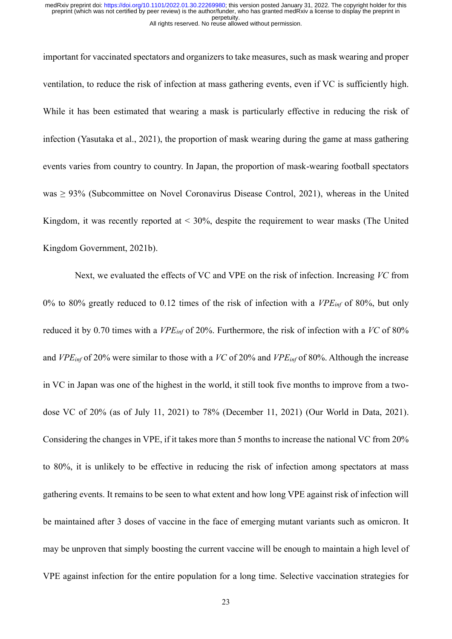important for vaccinated spectators and organizers to take measures, such as mask wearing and proper ventilation, to reduce the risk of infection at mass gathering events, even if VC is sufficiently high. While it has been estimated that wearing a mask is particularly effective in reducing the risk of infection (Yasutaka et al., 2021), the proportion of mask wearing during the game at mass gathering events varies from country to country. In Japan, the proportion of mask-wearing football spectators was  $\geq$  93% (Subcommittee on Novel Coronavirus Disease Control, 2021), whereas in the United Kingdom, it was recently reported at  $\leq 30\%$ , despite the requirement to wear masks (The United Kingdom Government, 2021b).

Next, we evaluated the effects of VC and VPE on the risk of infection. Increasing *VC* from 0% to 80% greatly reduced to 0.12 times of the risk of infection with a *VPEinf* of 80%, but only reduced it by 0.70 times with a *VPEinf* of 20%. Furthermore, the risk of infection with a *VC* of 80% and *VPEinf* of 20% were similar to those with a *VC* of 20% and *VPEinf* of 80%. Although the increase in VC in Japan was one of the highest in the world, it still took five months to improve from a twodose VC of 20% (as of July 11, 2021) to 78% (December 11, 2021) (Our World in Data, 2021). Considering the changes in VPE, if it takes more than 5 months to increase the national VC from 20% to 80%, it is unlikely to be effective in reducing the risk of infection among spectators at mass gathering events. It remains to be seen to what extent and how long VPE against risk of infection will be maintained after 3 doses of vaccine in the face of emerging mutant variants such as omicron. It may be unproven that simply boosting the current vaccine will be enough to maintain a high level of VPE against infection for the entire population for a long time. Selective vaccination strategies for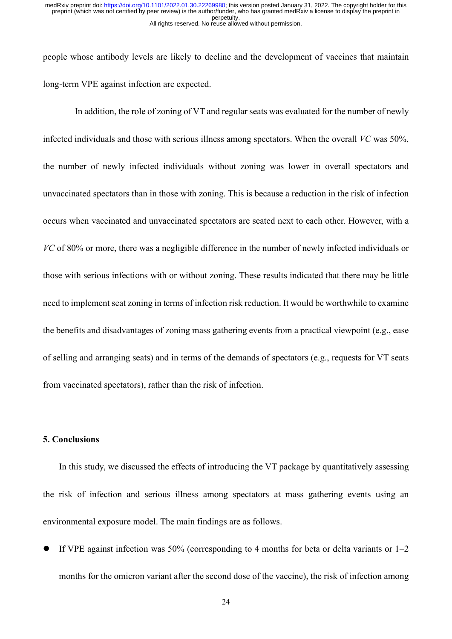people whose antibody levels are likely to decline and the development of vaccines that maintain long-term VPE against infection are expected.

In addition, the role of zoning of VT and regular seats was evaluated for the number of newly infected individuals and those with serious illness among spectators. When the overall *VC* was 50%, the number of newly infected individuals without zoning was lower in overall spectators and unvaccinated spectators than in those with zoning. This is because a reduction in the risk of infection occurs when vaccinated and unvaccinated spectators are seated next to each other. However, with a *VC* of 80% or more, there was a negligible difference in the number of newly infected individuals or those with serious infections with or without zoning. These results indicated that there may be little need to implement seat zoning in terms of infection risk reduction. It would be worthwhile to examine the benefits and disadvantages of zoning mass gathering events from a practical viewpoint (e.g., ease of selling and arranging seats) and in terms of the demands of spectators (e.g., requests for VT seats from vaccinated spectators), rather than the risk of infection.

## **5. Conclusions**

In this study, we discussed the effects of introducing the VT package by quantitatively assessing the risk of infection and serious illness among spectators at mass gathering events using an environmental exposure model. The main findings are as follows.

If VPE against infection was 50% (corresponding to 4 months for beta or delta variants or  $1-2$ months for the omicron variant after the second dose of the vaccine), the risk of infection among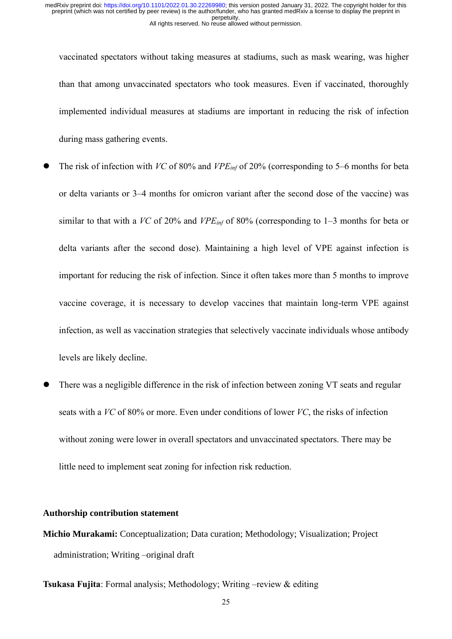vaccinated spectators without taking measures at stadiums, such as mask wearing, was higher than that among unvaccinated spectators who took measures. Even if vaccinated, thoroughly implemented individual measures at stadiums are important in reducing the risk of infection during mass gathering events.

- ⚫ The risk of infection with *VC* of 80% and *VPEinf* of 20% (corresponding to 5–6 months for beta or delta variants or 3–4 months for omicron variant after the second dose of the vaccine) was similar to that with a *VC* of 20% and *VPEinf* of 80% (corresponding to 1–3 months for beta or delta variants after the second dose). Maintaining a high level of VPE against infection is important for reducing the risk of infection. Since it often takes more than 5 months to improve vaccine coverage, it is necessary to develop vaccines that maintain long-term VPE against infection, as well as vaccination strategies that selectively vaccinate individuals whose antibody levels are likely decline.
- There was a negligible difference in the risk of infection between zoning VT seats and regular seats with a *VC* of 80% or more. Even under conditions of lower *VC*, the risks of infection without zoning were lower in overall spectators and unvaccinated spectators. There may be little need to implement seat zoning for infection risk reduction.

#### **Authorship contribution statement**

**Michio Murakami:** Conceptualization; Data curation; Methodology; Visualization; Project administration; Writing –original draft

**Tsukasa Fujita**: Formal analysis; Methodology; Writing –review & editing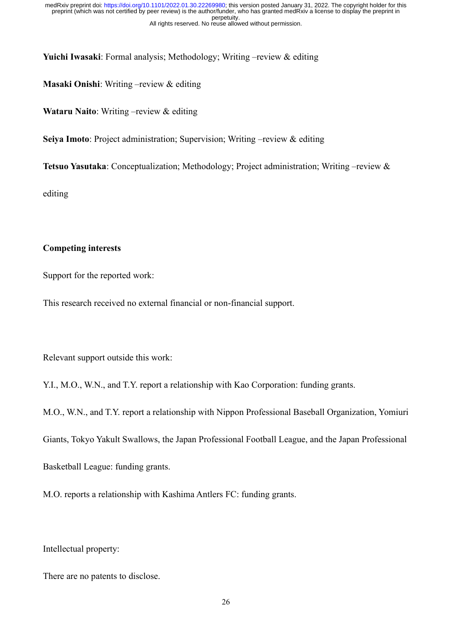**Yuichi Iwasaki**: Formal analysis; Methodology; Writing –review & editing

**Masaki Onishi**: Writing –review & editing

**Wataru Naito**: Writing –review & editing

**Seiya Imoto**: Project administration; Supervision; Writing –review & editing

**Tetsuo Yasutaka**: Conceptualization; Methodology; Project administration; Writing –review &

editing

# **Competing interests**

Support for the reported work:

This research received no external financial or non-financial support.

Relevant support outside this work:

Y.I., M.O., W.N., and T.Y. report a relationship with Kao Corporation: funding grants.

M.O., W.N., and T.Y. report a relationship with Nippon Professional Baseball Organization, Yomiuri

Giants, Tokyo Yakult Swallows, the Japan Professional Football League, and the Japan Professional

Basketball League: funding grants.

M.O. reports a relationship with Kashima Antlers FC: funding grants.

Intellectual property:

There are no patents to disclose.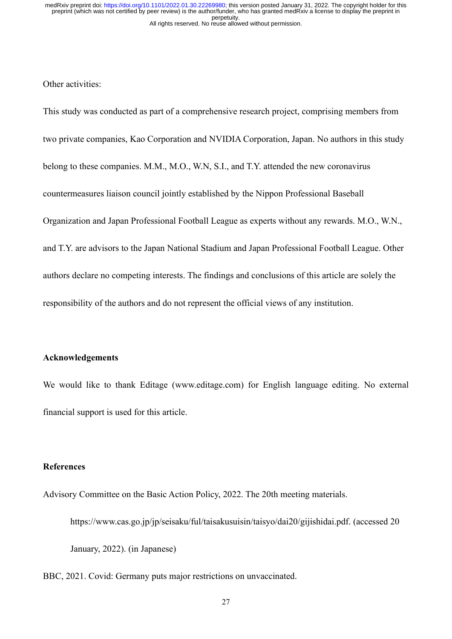Other activities:

This study was conducted as part of a comprehensive research project, comprising members from two private companies, Kao Corporation and NVIDIA Corporation, Japan. No authors in this study belong to these companies. M.M., M.O., W.N, S.I., and T.Y. attended the new coronavirus countermeasures liaison council jointly established by the Nippon Professional Baseball Organization and Japan Professional Football League as experts without any rewards. M.O., W.N., and T.Y. are advisors to the Japan National Stadium and Japan Professional Football League. Other authors declare no competing interests. The findings and conclusions of this article are solely the responsibility of the authors and do not represent the official views of any institution.

## **Acknowledgements**

We would like to thank Editage (www.editage.com) for English language editing. No external financial support is used for this article.

## **References**

Advisory Committee on the Basic Action Policy, 2022. The 20th meeting materials.

https://www.cas.go.jp/jp/seisaku/ful/taisakusuisin/taisyo/dai20/gijishidai.pdf. (accessed 20

January, 2022). (in Japanese)

BBC, 2021. Covid: Germany puts major restrictions on unvaccinated.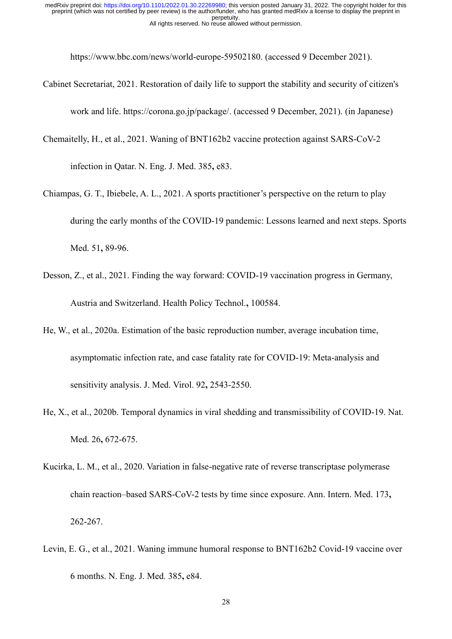https://www.bbc.com/news/world-europe-59502180. (accessed 9 December 2021).

- Cabinet Secretariat, 2021. Restoration of daily life to support the stability and security of citizen's work and life. https://corona.go.jp/package/. (accessed 9 December, 2021). (in Japanese)
- Chemaitelly, H., et al., 2021. Waning of BNT162b2 vaccine protection against SARS-CoV-2

infection in Qatar. N. Eng. J. Med. 385**,** e83.

- Chiampas, G. T., Ibiebele, A. L., 2021. A sports practitioner's perspective on the return to play during the early months of the COVID-19 pandemic: Lessons learned and next steps. Sports Med. 51**,** 89-96.
- Desson, Z., et al., 2021. Finding the way forward: COVID-19 vaccination progress in Germany, Austria and Switzerland. Health Policy Technol.**,** 100584.
- He, W., et al., 2020a. Estimation of the basic reproduction number, average incubation time, asymptomatic infection rate, and case fatality rate for COVID-19: Meta-analysis and sensitivity analysis. J. Med. Virol. 92**,** 2543-2550.
- He, X., et al., 2020b. Temporal dynamics in viral shedding and transmissibility of COVID-19. Nat. Med. 26**,** 672-675.
- Kucirka, L. M., et al., 2020. Variation in false-negative rate of reverse transcriptase polymerase chain reaction–based SARS-CoV-2 tests by time since exposure. Ann. Intern. Med. 173**,** 262-267.
- Levin, E. G., et al., 2021. Waning immune humoral response to BNT162b2 Covid-19 vaccine over 6 months. N. Eng. J. Med. 385**,** e84.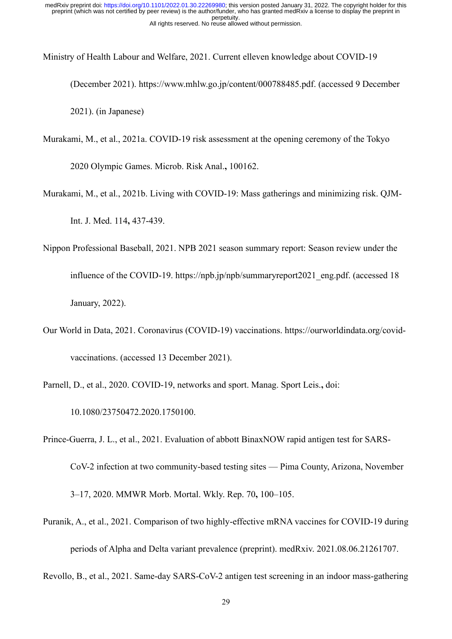Ministry of Health Labour and Welfare, 2021. Current elleven knowledge about COVID-19

(December 2021). https://www.mhlw.go.jp/content/000788485.pdf. (accessed 9 December 2021). (in Japanese)

Murakami, M., et al., 2021a. COVID-19 risk assessment at the opening ceremony of the Tokyo

2020 Olympic Games. Microb. Risk Anal.**,** 100162.

Murakami, M., et al., 2021b. Living with COVID-19: Mass gatherings and minimizing risk. QJM-Int. J. Med. 114**,** 437-439.

- Nippon Professional Baseball, 2021. NPB 2021 season summary report: Season review under the influence of the COVID-19. https://npb.jp/npb/summaryreport2021\_eng.pdf. (accessed 18 January, 2022).
- Our World in Data, 2021. Coronavirus (COVID-19) vaccinations. https://ourworldindata.org/covidvaccinations. (accessed 13 December 2021).

Parnell, D., et al., 2020. COVID-19, networks and sport. Manag. Sport Leis.**,** doi:

10.1080/23750472.2020.1750100.

Prince-Guerra, J. L., et al., 2021. Evaluation of abbott BinaxNOW rapid antigen test for SARS-

CoV-2 infection at two community-based testing sites — Pima County, Arizona, November

3–17, 2020. MMWR Morb. Mortal. Wkly. Rep. 70**,** 100–105.

Puranik, A., et al., 2021. Comparison of two highly-effective mRNA vaccines for COVID-19 during

periods of Alpha and Delta variant prevalence (preprint). medRxiv. 2021.08.06.21261707.

Revollo, B., et al., 2021. Same-day SARS-CoV-2 antigen test screening in an indoor mass-gathering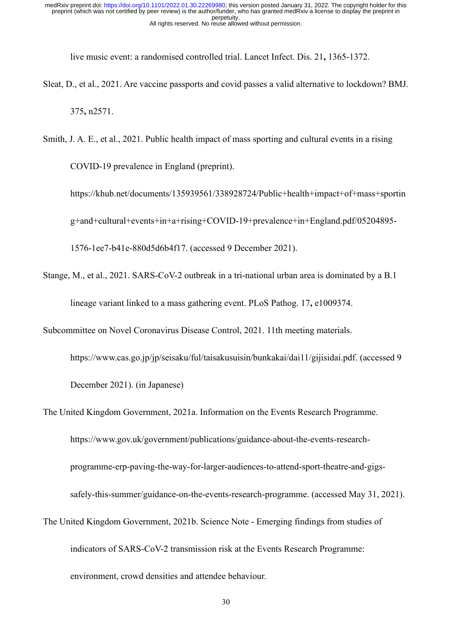live music event: a randomised controlled trial. Lancet Infect. Dis. 21**,** 1365-1372.

- Sleat, D., et al., 2021. Are vaccine passports and covid passes a valid alternative to lockdown? BMJ. 375**,** n2571.
- Smith, J. A. E., et al., 2021. Public health impact of mass sporting and cultural events in a rising COVID-19 prevalence in England (preprint).

https://khub.net/documents/135939561/338928724/Public+health+impact+of+mass+sportin g+and+cultural+events+in+a+rising+COVID-19+prevalence+in+England.pdf/05204895-

1576-1ee7-b41e-880d5d6b4f17. (accessed 9 December 2021).

Stange, M., et al., 2021. SARS-CoV-2 outbreak in a tri-national urban area is dominated by a B.1 lineage variant linked to a mass gathering event. PLoS Pathog. 17**,** e1009374.

Subcommittee on Novel Coronavirus Disease Control, 2021. 11th meeting materials.

https://www.cas.go.jp/jp/seisaku/ful/taisakusuisin/bunkakai/dai11/gijisidai.pdf. (accessed 9 December 2021). (in Japanese)

The United Kingdom Government, 2021a. Information on the Events Research Programme. https://www.gov.uk/government/publications/guidance-about-the-events-researchprogramme-erp-paving-the-way-for-larger-audiences-to-attend-sport-theatre-and-gigssafely-this-summer/guidance-on-the-events-research-programme. (accessed May 31, 2021). The United Kingdom Government, 2021b. Science Note - Emerging findings from studies of

indicators of SARS-CoV-2 transmission risk at the Events Research Programme:

environment, crowd densities and attendee behaviour.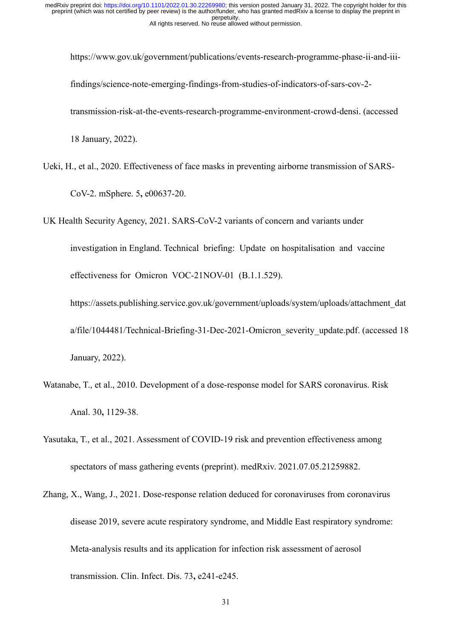https://www.gov.uk/government/publications/events-research-programme-phase-ii-and-iiifindings/science-note-emerging-findings-from-studies-of-indicators-of-sars-cov-2 transmission-risk-at-the-events-research-programme-environment-crowd-densi. (accessed 18 January, 2022).

Ueki, H., et al., 2020. Effectiveness of face masks in preventing airborne transmission of SARS-CoV-2. mSphere. 5**,** e00637-20.

UK Health Security Agency, 2021. SARS-CoV-2 variants of concern and variants under

investigation in England. Technical briefing: Update on hospitalisation and vaccine effectiveness for Omicron VOC-21NOV-01 (B.1.1.529).

https://assets.publishing.service.gov.uk/government/uploads/system/uploads/attachment\_dat a/file/1044481/Technical-Briefing-31-Dec-2021-Omicron severity update.pdf. (accessed 18 January, 2022).

- Watanabe, T., et al., 2010. Development of a dose-response model for SARS coronavirus. Risk Anal. 30**,** 1129-38.
- Yasutaka, T., et al., 2021. Assessment of COVID-19 risk and prevention effectiveness among spectators of mass gathering events (preprint). medRxiv. 2021.07.05.21259882.
- Zhang, X., Wang, J., 2021. Dose-response relation deduced for coronaviruses from coronavirus disease 2019, severe acute respiratory syndrome, and Middle East respiratory syndrome: Meta-analysis results and its application for infection risk assessment of aerosol transmission. Clin. Infect. Dis. 73**,** e241-e245.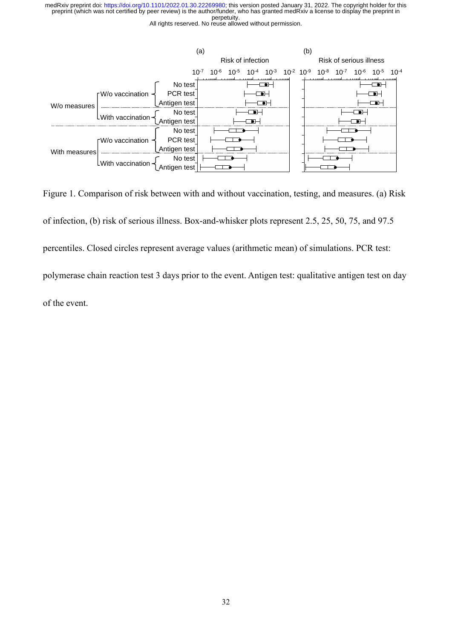

Figure 1. Comparison of risk between with and without vaccination, testing, and measures. (a) Risk of infection, (b) risk of serious illness. Box-and-whisker plots represent 2.5, 25, 50, 75, and 97.5 percentiles. Closed circles represent average values (arithmetic mean) of simulations. PCR test: polymerase chain reaction test 3 days prior to the event. Antigen test: qualitative antigen test on day of the event.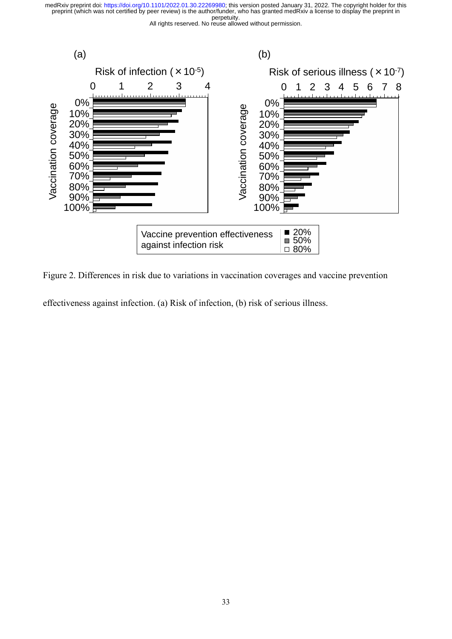



Figure 2. Differences in risk due to variations in vaccination coverages and vaccine prevention

effectiveness against infection. (a) Risk of infection, (b) risk of serious illness.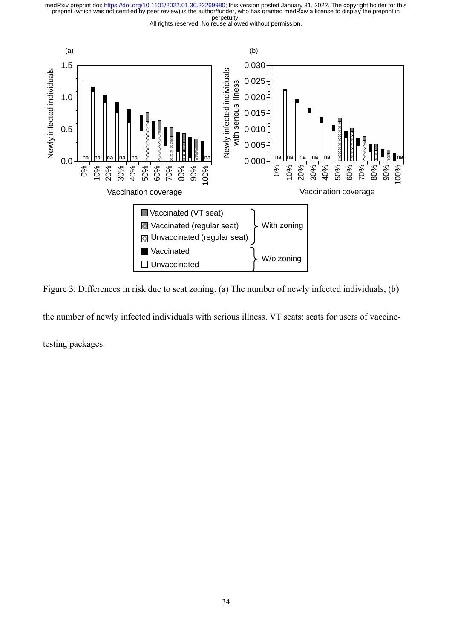All rights reserved. No reuse allowed without permission.



Figure 3. Differences in risk due to seat zoning. (a) The number of newly infected individuals, (b)

the number of newly infected individuals with serious illness. VT seats: seats for users of vaccine-

testing packages.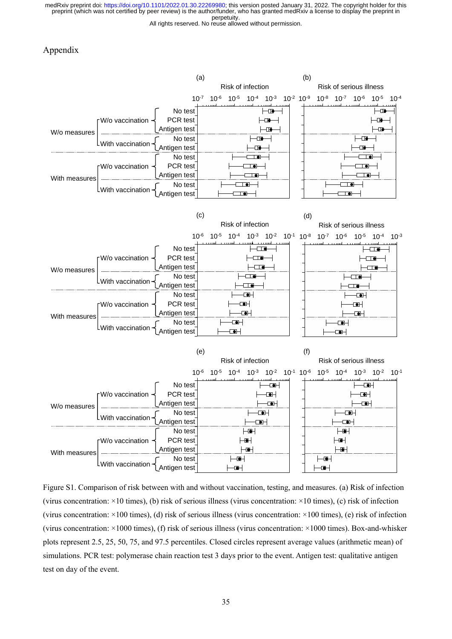All rights reserved. No reuse allowed without permission.

#### Appendix



Figure S1. Comparison of risk between with and without vaccination, testing, and measures. (a) Risk of infection (virus concentration:  $\times$ 10 times), (b) risk of serious illness (virus concentration:  $\times$ 10 times), (c) risk of infection (virus concentration:  $\times$ 100 times), (d) risk of serious illness (virus concentration:  $\times$ 100 times), (e) risk of infection (virus concentration: ×1000 times), (f) risk of serious illness (virus concentration: ×1000 times). Box-and-whisker plots represent 2.5, 25, 50, 75, and 97.5 percentiles. Closed circles represent average values (arithmetic mean) of simulations. PCR test: polymerase chain reaction test 3 days prior to the event. Antigen test: qualitative antigen test on day of the event.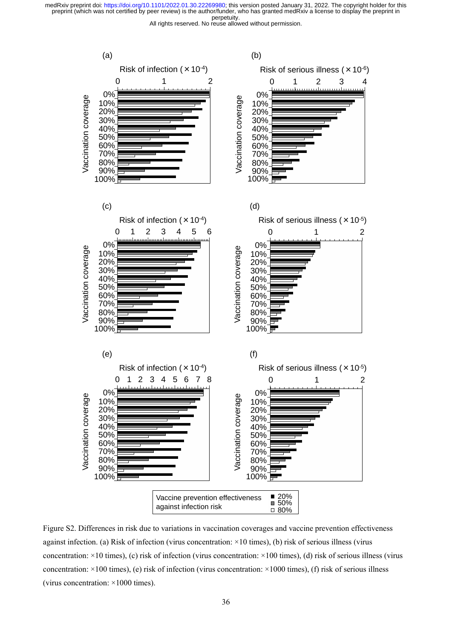

Figure S2. Differences in risk due to variations in vaccination coverages and vaccine prevention effectiveness against infection. (a) Risk of infection (virus concentration: ×10 times), (b) risk of serious illness (virus concentration:  $\times$ 10 times), (c) risk of infection (virus concentration:  $\times$ 100 times), (d) risk of serious illness (virus concentration: ×100 times), (e) risk of infection (virus concentration: ×1000 times), (f) risk of serious illness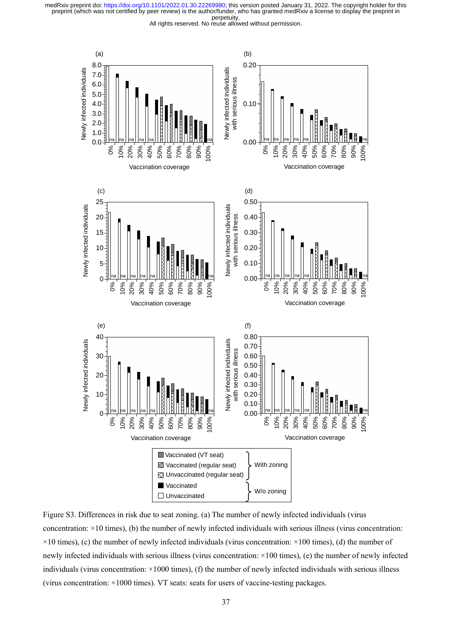

Figure S3. Differences in risk due to seat zoning. (a) The number of newly infected individuals (virus concentration: ×10 times), (b) the number of newly infected individuals with serious illness (virus concentration:  $\times$ 10 times), (c) the number of newly infected individuals (virus concentration:  $\times$ 100 times), (d) the number of newly infected individuals with serious illness (virus concentration: ×100 times), (e) the number of newly infected individuals (virus concentration: ×1000 times), (f) the number of newly infected individuals with serious illness (virus concentration: ×1000 times). VT seats: seats for users of vaccine-testing packages.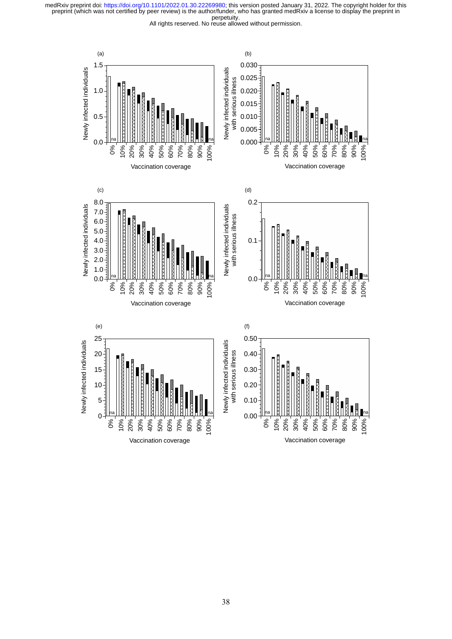